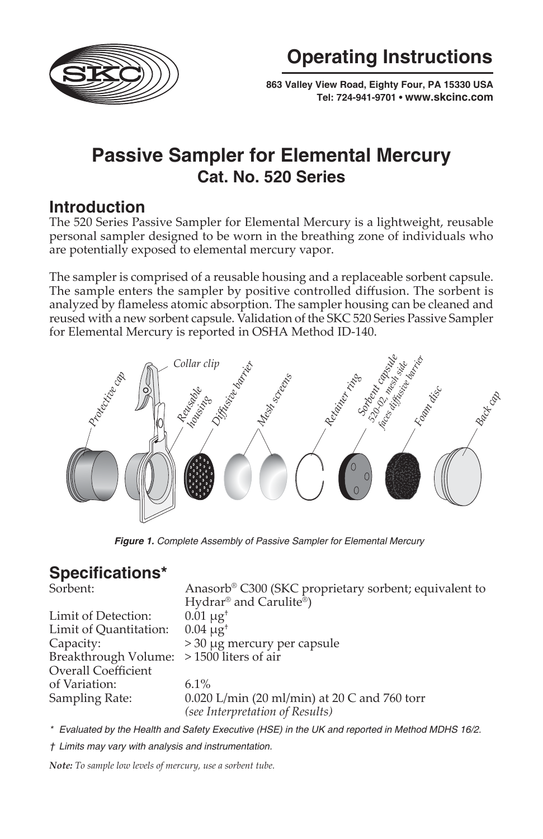

**Operating Instructions**

 **863 Valley View Road, Eighty Four, PA 15330 USA Tel: 724-941-9701 • [www.skcinc.com](http://www.skcinc.com)**

# **Passive Sampler for Elemental Mercury Cat. No. 520 Series**

## **Introduction**

The 520 Series Passive Sampler for Elemental Mercury is a lightweight, reusable personal sampler designed to be worn in the breathing zone of individuals who are potentially exposed to elemental mercury vapor.

The sampler is comprised of a reusable housing and a replaceable sorbent capsule. The sample enters the sampler by positive controlled diffusion. The sorbent is analyzed by flameless atomic absorption. The sampler housing can be cleaned and reused with a new sorbent capsule. Validation of the SKC 520 Series Passive Sampler for Elemental Mercury is reported in OSHA Method ID-140.



*Figure 1. Complete Assembly of Passive Sampler for Elemental Mercury* 

## **Specifi cations\***

| Sorbent:                                 | Anasorb® C300 (SKC proprietary sorbent; equivalent to |
|------------------------------------------|-------------------------------------------------------|
|                                          | Hydrar <sup>®</sup> and Carulite <sup>®</sup> )       |
| Limit of Detection:                      | $0.01 \mu g^{+}$                                      |
| Limit of Quantitation:                   | $0.04 \mu g^{+}$                                      |
| Capacity:                                | $>$ 30 µg mercury per capsule                         |
| Breakthrough Volume: >1500 liters of air |                                                       |
| Overall Coefficient                      |                                                       |
| of Variation:                            | $6.1\%$                                               |
| Sampling Rate:                           | 0.020 L/min (20 ml/min) at 20 C and 760 torr          |
|                                          | (see Interpretation of Results)                       |

*\* Evaluated by the Health and Safety Executive (HSE) in the UK and reported in Method MDHS 16/2.*

*† Limits may vary with analysis and instrumentation.*

*Note: To sample low levels of mercury, use a sorbent tube.*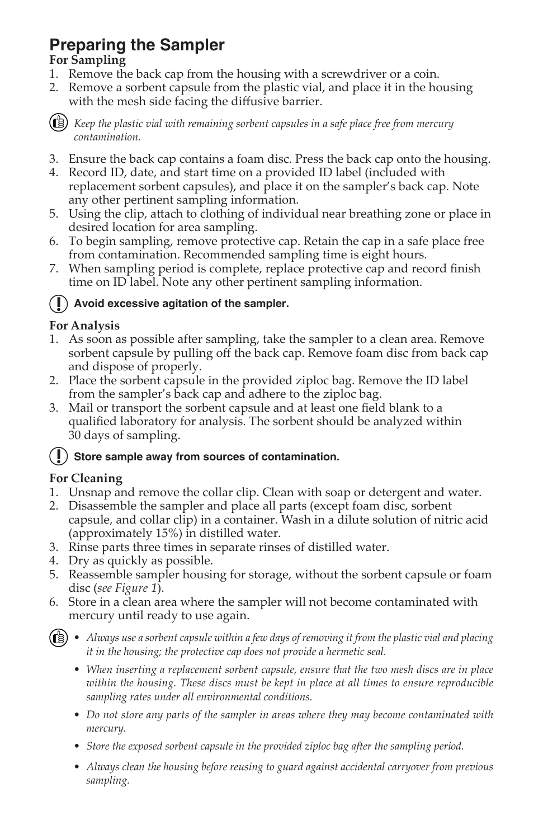# **Preparing the Sampler**

## **For Sampling**

- 1. Remove the back cap from the housing with a screwdriver or a coin.
- 2. Remove a sorbent capsule from the plastic vial, and place it in the housing with the mesh side facing the diffusive barrier.



*Keep the plastic vial with remaining sorbent capsules in a safe place free from mercury contamination.*

- 3. Ensure the back cap contains a foam disc. Press the back cap onto the housing.
- 4. Record ID, date, and start time on a provided ID label (included with replacement sorbent capsules), and place it on the sampler's back cap. Note any other pertinent sampling information.
- 5. Using the clip, attach to clothing of individual near breathing zone or place in desired location for area sampling.
- 6. To begin sampling, remove protective cap. Retain the cap in a safe place free from contamination. Recommended sampling time is eight hours.
- 7. When sampling period is complete, replace protective cap and record finish time on ID label. Note any other pertinent sampling information.

## **Avoid excessive agitation of the sampler.**

## **For Analysis**

- 1. As soon as possible after sampling, take the sampler to a clean area. Remove sorbent capsule by pulling off the back cap. Remove foam disc from back cap and dispose of properly.
- 2. Place the sorbent capsule in the provided ziploc bag. Remove the ID label from the sampler's back cap and adhere to the ziploc bag.
- 3. Mail or transport the sorbent capsule and at least one field blank to a qualified laboratory for analysis. The sorbent should be analyzed within 30 days of sampling.

## **Store sample away from sources of contamination.**

## **For Cleaning**

- 1. Unsnap and remove the collar clip. Clean with soap or detergent and water.
- 2. Disassemble the sampler and place all parts (except foam disc, sorbent capsule, and collar clip) in a container. Wash in a dilute solution of nitric acid (approximately 15%) in distilled water.
- 3. Rinse parts three times in separate rinses of distilled water.
- 4. Dry as quickly as possible.
- 5. Reassemble sampler housing for storage, without the sorbent capsule or foam disc (*see Figure 1*).
- 6. Store in a clean area where the sampler will not become contaminated with mercury until ready to use again.
- *Always use a sorbent capsule within a few days of removing it from the plastic vial and placing it in the housing; the protective cap does not provide a hermetic seal.*
	- *When inserting a replacement sorbent capsule, ensure that the two mesh discs are in place within the housing. These discs must be kept in place at all times to ensure reproducible sampling rates under all environmental conditions.*
	- *Do not store any parts of the sampler in areas where they may become contaminated with mercury.*
	- *Store the exposed sorbent capsule in the provided ziploc bag after the sampling period.*
	- *Always clean the housing before reusing to guard against accidental carryover from previous sampling.*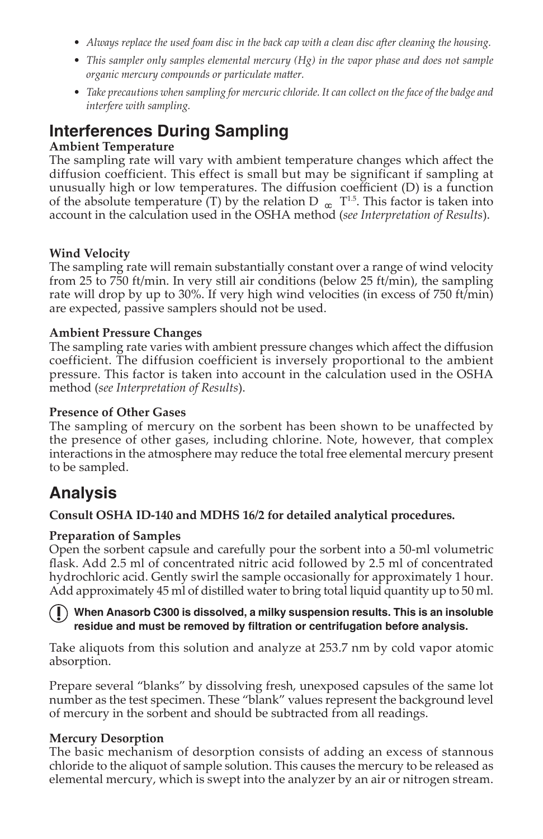- *Always replace the used foam disc in the back cap with a clean disc after cleaning the housing.*
- *This sampler only samples elemental mercury (Hg) in the vapor phase and does not sample organic mercury compounds or particulate matter.*
- *Take precautions when sampling for mercuric chloride. It can collect on the face of the badge and interfere with sampling.*

## **Interferences During Sampling**

#### **Ambient Temperature**

The sampling rate will vary with ambient temperature changes which affect the diffusion coefficient. This effect is small but may be significant if sampling at unusually high or low temperatures. The diffusion coefficient  $(D)$  is a function of the absolute temperature (T) by the relation D  $_{\alpha}$  T<sup>1.5</sup>. This factor is taken into account in the calculation used in the OSHA method (*see Interpretation of Results*).

#### **Wind Velocity**

The sampling rate will remain substantially constant over a range of wind velocity from 25 to 750 ft/min. In very still air conditions (below 25 ft/min), the sampling rate will drop by up to 30%. If very high wind velocities (in excess of 750 ft/min) are expected, passive samplers should not be used.

#### **Ambient Pressure Changes**

The sampling rate varies with ambient pressure changes which affect the diffusion coefficient. The diffusion coefficient is inversely proportional to the ambient pressure. This factor is taken into account in the calculation used in the OSHA method (*see Interpretation of Results*).

#### **Presence of Other Gases**

The sampling of mercury on the sorbent has been shown to be unaffected by the presence of other gases, including chlorine. Note, however, that complex interactions in the atmosphere may reduce the total free elemental mercury present to be sampled.

## **Analysis**

#### **Consult OSHA ID-140 and MDHS 16/2 for detailed analytical procedures.**

#### **Preparation of Samples**

Open the sorbent capsule and carefully pour the sorbent into a 50-ml volumetric flask. Add 2.5 ml of concentrated nitric acid followed by 2.5 ml of concentrated hydrochloric acid. Gently swirl the sample occasionally for approximately 1 hour. Add approximately 45 ml of distilled water to bring total liquid quantity up to 50 ml.

#### **When Anasorb C300 is dissolved, a milky suspension results. This is an insoluble**  residue and must be removed by filtration or centrifugation before analysis.

Take aliquots from this solution and analyze at 253.7 nm by cold vapor atomic absorption.

Prepare several "blanks" by dissolving fresh, unexposed capsules of the same lot number as the test specimen. These "blank" values represent the background level of mercury in the sorbent and should be subtracted from all readings.

#### **Mercury Desorption**

The basic mechanism of desorption consists of adding an excess of stannous chloride to the aliquot of sample solution. This causes the mercury to be released as elemental mercury, which is swept into the analyzer by an air or nitrogen stream.